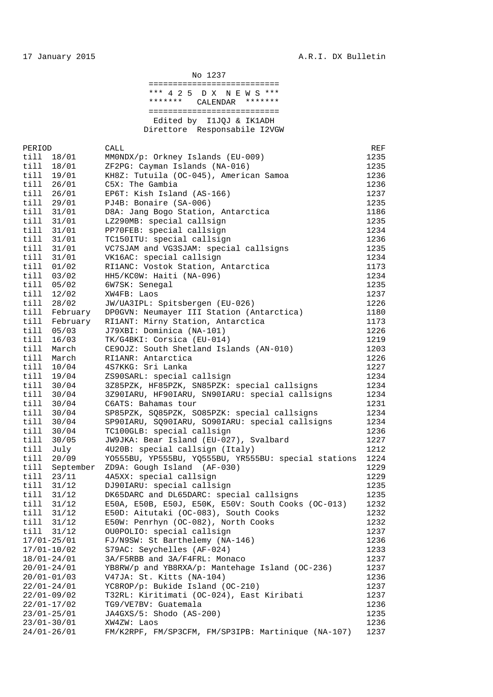| No 1237                              |
|--------------------------------------|
|                                      |
| *** 4 2 5 D X N E W S ***            |
| *******<br>* * * * * * *<br>CALENDAR |
|                                      |
| Edited by I1JOJ & IK1ADH             |
| Direttore Responsabile I2VGW         |

| PERIOD          |                          | CALL                                                                          | REF          |
|-----------------|--------------------------|-------------------------------------------------------------------------------|--------------|
| till            | 18/01                    | MMONDX/p: Orkney Islands (EU-009)                                             | 1235         |
| till            | 18/01                    | ZF2PG: Cayman Islands (NA-016)                                                | 1235         |
| till            | 19/01                    | KH8Z: Tutuila (OC-045), American Samoa                                        | 1236         |
| till            | 26/01                    | C5X: The Gambia                                                               | 1236         |
| till            | 26/01                    | EP6T: Kish Island (AS-166)                                                    | 1237         |
| till            | 29/01                    | PJ4B: Bonaire (SA-006)                                                        | 1235         |
| till            | 31/01                    | D8A: Jang Bogo Station, Antarctica                                            | 1186         |
| till            | 31/01                    | LZ290MB: special callsign                                                     | 1235         |
| till            | 31/01                    | PP70FEB: special callsign                                                     | 1234         |
| till            | 31/01                    | TC150ITU: special callsign                                                    | 1236         |
| till            | 31/01                    | VC7SJAM and VG3SJAM: special callsigns                                        | 1235         |
| till            | 31/01                    | VK16AC: special callsign                                                      | 1234         |
| till            | 01/02                    | RI1ANC: Vostok Station, Antarctica                                            | 1173         |
| till            | 03/02                    | HH5/KCOW: Haiti (NA-096)                                                      | 1234         |
| till            | 05/02                    | 6W7SK: Senegal                                                                | 1235         |
| till            | 12/02                    | XW4FB: Laos                                                                   | 1237         |
| till            | 28/02                    | JW/UA3IPL: Spitsbergen (EU-026)                                               | 1226         |
|                 | till February            | DPOGVN: Neumayer III Station (Antarctica)                                     | 1180         |
| till            | February                 | RI1ANT: Mirny Station, Antarctica                                             | 1173         |
| till            | 05/03                    | J79XBI: Dominica (NA-101)                                                     | 1226         |
| till            | 16/03                    | TK/G4BKI: Corsica (EU-014)                                                    | 1219         |
| till            | March                    | CE90JZ: South Shetland Islands (AN-010)                                       | 1203         |
| till            | March                    | RI1ANR: Antarctica                                                            | 1226         |
| till            | 10/04                    | 4S7KKG: Sri Lanka                                                             | 1227         |
| till            | 19/04                    | ZS90SARL: special callsign                                                    | 1234         |
| till            | 30/04                    | 3Z85PZK, HF85PZK, SN85PZK: special callsigns                                  | 1234         |
| till            | 30/04                    | 3Z90IARU, HF90IARU, SN90IARU: special callsigns                               | 1234         |
| till            | 30/04                    | C6ATS: Bahamas tour                                                           | 1231         |
| till            | 30/04                    | SP85PZK, SQ85PZK, SO85PZK: special callsigns                                  | 1234         |
| till            | 30/04                    | SP90IARU, SQ90IARU, SO90IARU: special callsigns                               | 1234         |
| till            | 30/04                    | TC100GLB: special callsign                                                    | 1236         |
| till            | 30/05                    | JW9JKA: Bear Island (EU-027), Svalbard                                        | 1227         |
| till            | July                     | 4U20B: special callsign (Italy)                                               | 1212         |
| till            | 20/09                    | YO555BU, YP555BU, YQ555BU, YR555BU: special stations                          | 1224         |
| till            | September                | ZD9A: Gough Island (AF-030)                                                   | 1229         |
| till            | 23/11                    | 4A5XX: special callsign                                                       | 1229         |
| till            | 31/12                    | DJ90IARU: special callsign                                                    | 1235         |
| till            | 31/12                    | DK65DARC and DL65DARC: special callsigns                                      | 1235         |
| till            | 31/12                    | E50A, E50B, E50J, E50K, E50V: South Cooks (OC-013)                            | 1232         |
| till            |                          |                                                                               |              |
|                 | 31/12<br>31/12           | E50D: Aitutaki (OC-083), South Cooks<br>E50W: Penrhyn (OC-082), North Cooks   | 1232         |
| till            |                          | OU0POLIO: special callsign                                                    | 1232<br>1237 |
| till            | 31/12<br>$17/01 - 25/01$ | FJ/N9SW: St Barthelemy (NA-146)                                               |              |
|                 |                          |                                                                               | 1236         |
|                 | $17/01 - 10/02$          | S79AC: Seychelles (AF-024)                                                    | 1233         |
|                 | $18/01 - 24/01$          | 3A/F5RBB and 3A/F4FRL: Monaco                                                 | 1237         |
|                 | $20/01 - 24/01$          | YB8RW/p and YB8RXA/p: Mantehage Island (OC-236)                               | 1237         |
|                 | $20/01 - 01/03$          | V47JA: St. Kitts (NA-104)                                                     | 1236         |
|                 | $22/01 - 24/01$          | YC8ROP/p: Bukide Island (OC-210)<br>T32RL: Kiritimati (OC-024), East Kiribati | 1237         |
|                 | $22/01 - 09/02$          |                                                                               | 1237         |
|                 | $22/01 - 17/02$          | TG9/VE7BV: Guatemala                                                          | 1236         |
|                 | $23/01 - 25/01$          | JA4GXS/5: Shodo (AS-200)                                                      | 1235         |
|                 | $23/01 - 30/01$          | XW4ZW: Laos                                                                   | 1236         |
| $24/01 - 26/01$ |                          | FM/K2RPF, FM/SP3CFM, FM/SP3IPB: Martinique (NA-107)                           | 1237         |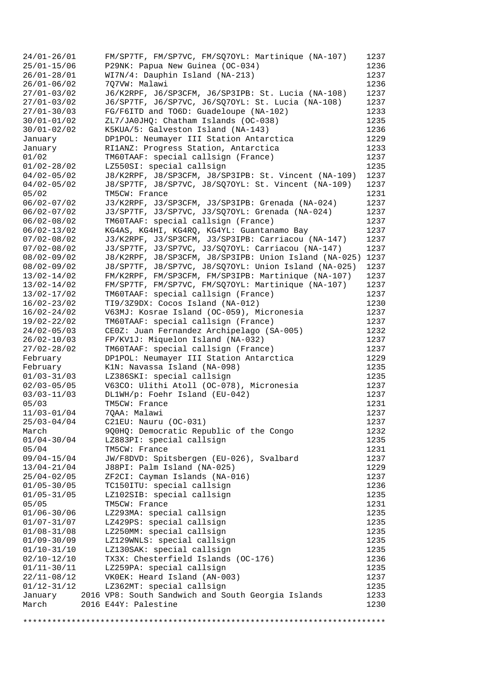| $24/01 - 26/01$ | FM/SP7TF, FM/SP7VC, FM/SQ7OYL: Martinique (NA-107)    | 1237 |
|-----------------|-------------------------------------------------------|------|
|                 |                                                       |      |
| $25/01 - 15/06$ | P29NK: Papua New Guinea (OC-034)                      | 1236 |
| $26/01 - 28/01$ | WI7N/4: Dauphin Island (NA-213)                       | 1237 |
| $26/01 - 06/02$ | 7Q7VW: Malawi                                         | 1236 |
| $27/01 - 03/02$ | J6/K2RPF, J6/SP3CFM, J6/SP3IPB: St. Lucia (NA-108)    | 1237 |
| $27/01 - 03/02$ | J6/SP7TF, J6/SP7VC, J6/SQ7OYL: St. Lucia (NA-108)     | 1237 |
|                 |                                                       |      |
| $27/01 - 30/03$ | FG/F6ITD and TO6D: Guadeloupe (NA-102)                | 1233 |
| $30/01 - 01/02$ | ZL7/JA0JHQ: Chatham Islands (OC-038)                  | 1235 |
| $30/01 - 02/02$ | K5KUA/5: Galveston Island (NA-143)                    | 1236 |
| January         | DP1POL: Neumayer III Station Antarctica               | 1229 |
| January         | RI1ANZ: Progress Station, Antarctica                  | 1233 |
| 01/02           | TM60TAAF: special callsign (France)                   | 1237 |
|                 | LZ550SI: special callsign                             | 1235 |
| $01/02 - 28/02$ |                                                       |      |
| $04/02 - 05/02$ | J8/K2RPF, J8/SP3CFM, J8/SP3IPB: St. Vincent (NA-109)  | 1237 |
| $04/02 - 05/02$ | J8/SP7TF, J8/SP7VC, J8/SQ7OYL: St. Vincent (NA-109)   | 1237 |
| 05/02           | TM5CW: France                                         | 1231 |
| $06/02 - 07/02$ | J3/K2RPF, J3/SP3CFM, J3/SP3IPB: Grenada (NA-024)      | 1237 |
| $06/02 - 07/02$ | J3/SP7TF, J3/SP7VC, J3/SQ7OYL: Grenada (NA-024)       | 1237 |
| $06/02 - 08/02$ | TM60TAAF: special callsign (France)                   | 1237 |
|                 |                                                       |      |
| $06/02 - 13/02$ | KG4AS, KG4HI, KG4RQ, KG4YL: Guantanamo Bay            | 1237 |
| $07/02 - 08/02$ | J3/K2RPF, J3/SP3CFM, J3/SP3IPB: Carriacou (NA-147)    | 1237 |
| $07/02 - 08/02$ | J3/SP7TF, J3/SP7VC, J3/SQ7OYL: Carriacou (NA-147)     | 1237 |
| $08/02 - 09/02$ | J8/K2RPF, J8/SP3CFM, J8/SP3IPB: Union Island (NA-025) | 1237 |
| $08/02 - 09/02$ | J8/SP7TF, J8/SP7VC, J8/SQ7OYL: Union Island (NA-025)  | 1237 |
| $13/02 - 14/02$ | FM/K2RPF, FM/SP3CFM, FM/SP3IPB: Martinique (NA-107)   | 1237 |
| $13/02 - 14/02$ | FM/SP7TF, FM/SP7VC, FM/SQ7OYL: Martinique (NA-107)    | 1237 |
|                 |                                                       |      |
| $13/02 - 17/02$ | TM60TAAF: special callsign (France)                   | 1237 |
| $16/02 - 23/02$ | TI9/3Z9DX: Cocos Island (NA-012)                      | 1230 |
| $16/02 - 24/02$ | V63MJ: Kosrae Island (OC-059), Micronesia             | 1237 |
| 19/02-22/02     | TM60TAAF: special callsign (France)                   | 1237 |
| $24/02 - 05/03$ | CE0Z: Juan Fernandez Archipelago (SA-005)             | 1232 |
| $26/02 - 10/03$ | FP/KV1J: Miquelon Island (NA-032)                     | 1237 |
| $27/02 - 28/02$ | TM60TAAF: special callsign (France)                   | 1237 |
|                 |                                                       |      |
| February        | DP1POL: Neumayer III Station Antarctica               | 1229 |
| February        | K1N: Navassa Island (NA-098)                          | 1235 |
| $01/03 - 31/03$ | LZ386SKI: special callsign                            | 1235 |
| $02/03 - 05/05$ | V63CO: Ulithi Atoll (OC-078), Micronesia              | 1237 |
| $03/03 - 11/03$ | DL1WH/p: Foehr Island (EU-042)                        | 1237 |
| 05/03           | TM5CW: France                                         | 1231 |
| $11/03 - 01/04$ | 7QAA: Malawi                                          | 1237 |
|                 |                                                       |      |
| $25/03 - 04/04$ | C21EU: Nauru (OC-031)                                 | 1237 |
| March           | 9Q0HQ: Democratic Republic of the Congo               | 1232 |
| $01/04 - 30/04$ | LZ883PI: special callsign                             | 1235 |
| 05/04           | TM5CW: France                                         | 1231 |
| $09/04 - 15/04$ | JW/F8DVD: Spitsbergen (EU-026), Svalbard              | 1237 |
| $13/04 - 21/04$ | J88PI: Palm Island (NA-025)                           | 1229 |
| $25/04 - 02/05$ | ZF2CI: Cayman Islands (NA-016)                        | 1237 |
|                 |                                                       |      |
| $01/05 - 30/05$ | TC150ITU: special callsign                            | 1236 |
| $01/05 - 31/05$ | LZ102SIB: special callsign                            | 1235 |
| 05/05           | TM5CW: France                                         | 1231 |
| $01/06 - 30/06$ | LZ293MA: special callsign                             | 1235 |
| $01/07 - 31/07$ | LZ429PS: special callsign                             | 1235 |
| $01/08 - 31/08$ | LZ250MM: special callsign                             | 1235 |
| $01/09 - 30/09$ | LZ129WNLS: special callsign                           | 1235 |
|                 |                                                       |      |
| $01/10-31/10$   | LZ130SAK: special callsign                            | 1235 |
| $02/10 - 12/10$ | TX3X: Chesterfield Islands (OC-176)                   | 1236 |
| $01/11 - 30/11$ | LZ259PA: special callsign                             | 1235 |
| $22/11 - 08/12$ | VKOEK: Heard Island (AN-003)                          | 1237 |
| $01/12 - 31/12$ | LZ362MT: special callsign                             | 1235 |
| January         | 2016 VP8: South Sandwich and South Georgia Islands    | 1233 |
| March           | 2016 E44Y: Palestine                                  | 1230 |
|                 |                                                       |      |

\*\*\*\*\*\*\*\*\*\*\*\*\*\*\*\*\*\*\*\*\*\*\*\*\*\*\*\*\*\*\*\*\*\*\*\*\*\*\*\*\*\*\*\*\*\*\*\*\*\*\*\*\*\*\*\*\*\*\*\*\*\*\*\*\*\*\*\*\*\*\*\*\*\*\*